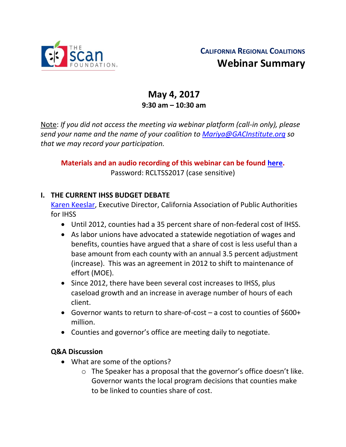

# **CALIFORNIA REGIONAL COALITIONS Webinar Summary**

## **May 4, 2017 9:30 am – 10:30 am**

Note: *If you did not access the meeting via webinar platform (call-in only), please send your name and the name of your coalition to [Mariya@GACInstitute.org](mailto:Mariya@GACInstitute.org) so that we may record your participation.*

**Materials and an audio recording of this webinar can be found [here.](http://www.ccltss.org/members-only/regional-coalition-meeting-materials/)**  Password: RCLTSS2017 (case sensitive)

#### **I. THE CURRENT IHSS BUDGET DEBATE**

[Karen Keeslar,](mailto:keeslar@sbcglobal.net) Executive Director, California Association of Public Authorities for IHSS

- Until 2012, counties had a 35 percent share of non-federal cost of IHSS.
- As labor unions have advocated a statewide negotiation of wages and benefits, counties have argued that a share of cost is less useful than a base amount from each county with an annual 3.5 percent adjustment (increase). This was an agreement in 2012 to shift to maintenance of effort (MOE).
- Since 2012, there have been several cost increases to IHSS, plus caseload growth and an increase in average number of hours of each client.
- Governor wants to return to share-of-cost a cost to counties of \$600+ million.
- Counties and governor's office are meeting daily to negotiate.

#### **Q&A Discussion**

- What are some of the options?
	- o The Speaker has a proposal that the governor's office doesn't like. Governor wants the local program decisions that counties make to be linked to counties share of cost.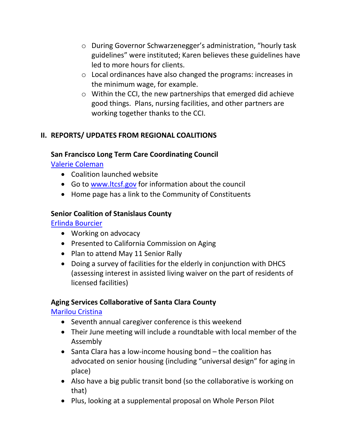- o During Governor Schwarzenegger's administration, "hourly task guidelines" were instituted; Karen believes these guidelines have led to more hours for clients.
- o Local ordinances have also changed the programs: increases in the minimum wage, for example.
- o Within the CCI, the new partnerships that emerged did achieve good things. Plans, nursing facilities, and other partners are working together thanks to the CCI.

## **II. REPORTS/ UPDATES FROM REGIONAL COALITIONS**

#### **San Francisco Long Term Care Coordinating Council**

[Valerie Coleman](mailto:valerie.j.coleman@sfgov.org)

- Coalition launched website
- Go to [www.ltcsf.gov](http://www.ltcsf.gov/) for information about the council
- Home page has a link to the Community of Constituents

#### **Senior Coalition of Stanislaus County**

[Erlinda Bourcier](mailto:ebourcier.healthyaging@gmail.com) 

- Working on advocacy
- Presented to California Commission on Aging
- Plan to attend May 11 Senior Rally
- Doing a survey of facilities for the elderly in conjunction with DHCS (assessing interest in assisted living waiver on the part of residents of licensed facilities)

#### **Aging Services Collaborative of Santa Clara County**

[Marilou Cristina](mailto:marilou.cristina@sbcglobal.net)

- Seventh annual caregiver conference is this weekend
- Their June meeting will include a roundtable with local member of the Assembly
- Santa Clara has a low-income housing bond the coalition has advocated on senior housing (including "universal design" for aging in place)
- Also have a big public transit bond (so the collaborative is working on that)
- Plus, looking at a supplemental proposal on Whole Person Pilot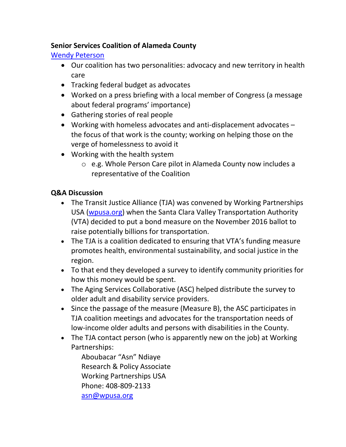## **Senior Services Coalition of Alameda County**

### [Wendy Peterson](mailto:wendy@seniorservicescoalition.org)

- Our coalition has two personalities: advocacy and new territory in health care
- Tracking federal budget as advocates
- Worked on a press briefing with a local member of Congress (a message about federal programs' importance)
- Gathering stories of real people
- Working with homeless advocates and anti-displacement advocates the focus of that work is the county; working on helping those on the verge of homelessness to avoid it
- Working with the health system
	- o e.g. Whole Person Care pilot in Alameda County now includes a representative of the Coalition

## **Q&A Discussion**

- The Transit Justice Alliance (TJA) was convened by Working Partnerships USA [\(wpusa.org\)](http://wpusa.org/) when the Santa Clara Valley Transportation Authority (VTA) decided to put a bond measure on the November 2016 ballot to raise potentially billions for transportation.
- The TJA is a coalition dedicated to ensuring that VTA's funding measure promotes health, environmental sustainability, and social justice in the region.
- To that end they developed a survey to identify community priorities for how this money would be spent.
- The Aging Services Collaborative (ASC) helped distribute the survey to older adult and disability service providers.
- Since the passage of the measure (Measure B), the ASC participates in TJA coalition meetings and advocates for the transportation needs of low-income older adults and persons with disabilities in the County.
- The TJA contact person (who is apparently new on the job) at Working Partnerships:

Aboubacar "Asn" Ndiaye Research & Policy Associate Working Partnerships USA Phone: [408-809-2133](tel:%28408%29%20809-2133) [asn@wpusa.org](mailto:asn@wpusa.org)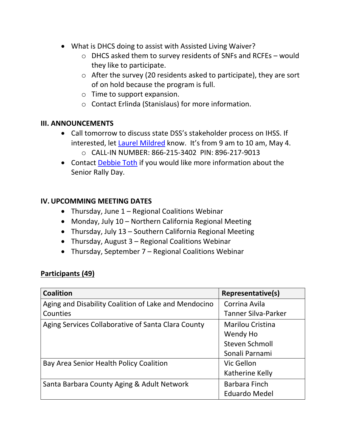- What is DHCS doing to assist with Assisted Living Waiver?
	- o DHCS asked them to survey residents of SNFs and RCFEs would they like to participate.
	- o After the survey (20 residents asked to participate), they are sort of on hold because the program is full.
	- o Time to support expansion.
	- o Contact Erlinda (Stanislaus) for more information.

#### **III. ANNOUNCEMENTS**

- Call tomorrow to discuss state DSS's stakeholder process on IHSS. If interested, let Laurel [Mildred](mailto:laurel.mildred@mildredconsulting.com) know. It's from 9 am to 10 am, May 4. o CALL-IN NUMBER: 866-215-3402 PIN: 896-217-9013
- Contact [Debbie Toth](mailto:dtoth@choiceinaging.org) if you would like more information about the Senior Rally Day.

#### **IV.UPCOMMING MEETING DATES**

- Thursday, June 1 Regional Coalitions Webinar
- Monday, July 10 Northern California Regional Meeting
- Thursday, July 13 Southern California Regional Meeting
- Thursday, August 3 Regional Coalitions Webinar
- Thursday, September 7 Regional Coalitions Webinar

#### **Participants (49)**

| <b>Coalition</b>                                     | Representative(s)       |
|------------------------------------------------------|-------------------------|
| Aging and Disability Coalition of Lake and Mendocino | Corrina Avila           |
| Counties                                             | Tanner Silva-Parker     |
| Aging Services Collaborative of Santa Clara County   | <b>Marilou Cristina</b> |
|                                                      | Wendy Ho                |
|                                                      | Steven Schmoll          |
|                                                      | Sonali Parnami          |
| Bay Area Senior Health Policy Coalition              | Vic Gellon              |
|                                                      | Katherine Kelly         |
| Santa Barbara County Aging & Adult Network           | <b>Barbara Finch</b>    |
|                                                      | <b>Eduardo Medel</b>    |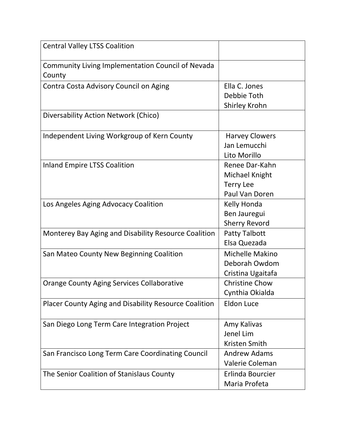| <b>Central Valley LTSS Coalition</b>                         |                                                                        |
|--------------------------------------------------------------|------------------------------------------------------------------------|
| Community Living Implementation Council of Nevada<br>County  |                                                                        |
| Contra Costa Advisory Council on Aging                       | Ella C. Jones<br>Debbie Toth<br>Shirley Krohn                          |
| Diversability Action Network (Chico)                         |                                                                        |
| Independent Living Workgroup of Kern County                  | <b>Harvey Clowers</b><br>Jan Lemucchi<br>Lito Morillo                  |
| <b>Inland Empire LTSS Coalition</b>                          | Renee Dar-Kahn<br>Michael Knight<br><b>Terry Lee</b><br>Paul Van Doren |
| Los Angeles Aging Advocacy Coalition                         | Kelly Honda<br>Ben Jauregui<br><b>Sherry Revord</b>                    |
| Monterey Bay Aging and Disability Resource Coalition         | <b>Patty Talbott</b><br>Elsa Quezada                                   |
| San Mateo County New Beginning Coalition                     | Michelle Makino<br>Deborah Owdom<br>Cristina Ugaitafa                  |
| Orange County Aging Services Collaborative                   | <b>Christine Chow</b><br>Cynthia Okialda                               |
| <b>Placer County Aging and Disability Resource Coalition</b> | <b>Eldon Luce</b>                                                      |
| San Diego Long Term Care Integration Project                 | Amy Kalivas<br>Jenel Lim<br>Kristen Smith                              |
| San Francisco Long Term Care Coordinating Council            | <b>Andrew Adams</b><br>Valerie Coleman                                 |
| The Senior Coalition of Stanislaus County                    | Erlinda Bourcier<br>Maria Profeta                                      |